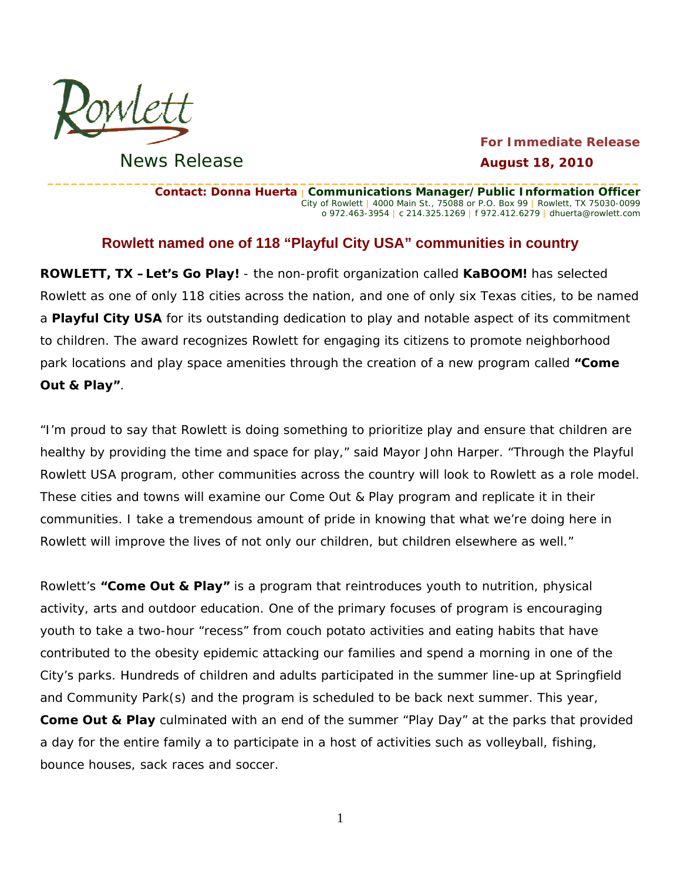

News Release

## **For Immediate Release August 18, 2010**

Contact: Donna Huerta | Communications Manager/Public Information Officer City of Rowlett | 4000 Main St., 75088 or P.O. Box 99 | Rowlett, TX 75030-0099 o 972.463-3954 | c 214.325.1269 | f 972.412.6279 | dhuerta@rowlett.com

## Rowlett named one of 118 "Playful City USA" communities in country

**ROWLETT, TX -Let's Go Play!** - the non-profit organization called **KaBOOM!** has selected Rowlett as one of only 118 cities across the nation, and one of only six Texas cities, to be named a Playful City USA for its outstanding dedication to play and notable aspect of its commitment to children. The award recognizes Rowlett for engaging its citizens to promote neighborhood park locations and play space amenities through the creation of a new program called "Come Out & Play".

"I'm proud to say that Rowlett is doing something to prioritize play and ensure that children are healthy by providing the time and space for play," said Mayor John Harper. "Through the Playful Rowlett USA program, other communities across the country will look to Rowlett as a role model. These cities and towns will examine our Come Out & Play program and replicate it in their communities. I take a tremendous amount of pride in knowing that what we're doing here in Rowlett will improve the lives of not only our children, but children elsewhere as well."

Rowlett's "Come Out & Play" is a program that reintroduces youth to nutrition, physical activity, arts and outdoor education. One of the primary focuses of program is encouraging youth to take a two-hour "recess" from couch potato activities and eating habits that have contributed to the obesity epidemic attacking our families and spend a morning in one of the City's parks. Hundreds of children and adults participated in the summer line-up at Springfield and Community Park(s) and the program is scheduled to be back next summer. This year, **Come Out & Play** culminated with an end of the summer "Play Day" at the parks that provided a day for the entire family a to participate in a host of activities such as volleyball, fishing, bounce houses, sack races and soccer.